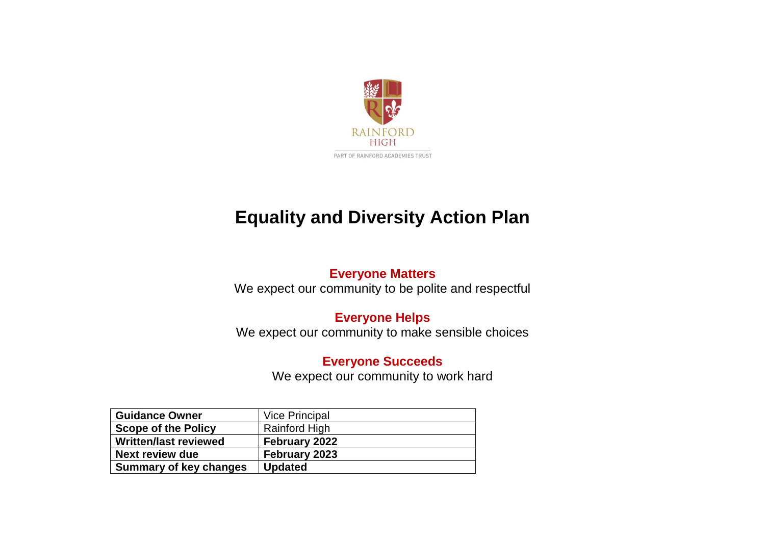

# **Equality and Diversity Action Plan**

#### **Everyone Matters**

We expect our community to be polite and respectful

### **Everyone Helps**

We expect our community to make sensible choices

#### **Everyone Succeeds**

We expect our community to work hard

| <b>Guidance Owner</b>         | <b>Vice Principal</b> |
|-------------------------------|-----------------------|
| <b>Scope of the Policy</b>    | <b>Rainford High</b>  |
| <b>Written/last reviewed</b>  | <b>February 2022</b>  |
| Next review due               | February 2023         |
| <b>Summary of key changes</b> | <b>Updated</b>        |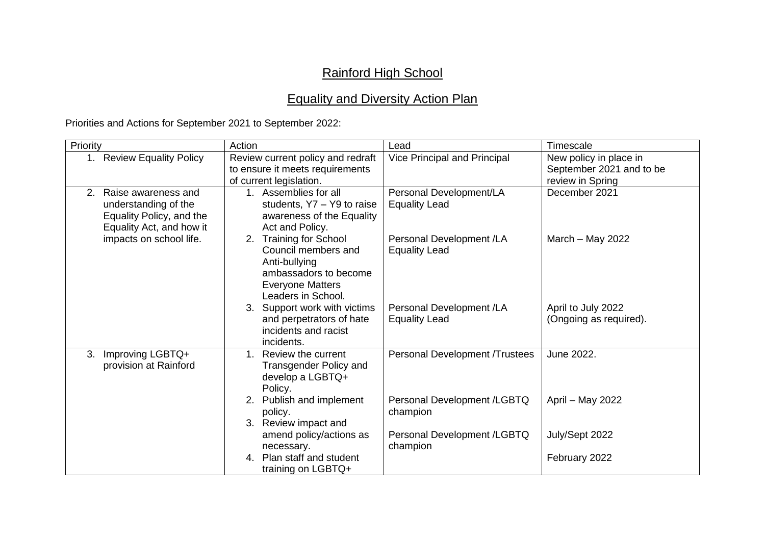## Rainford High School

## Equality and Diversity Action Plan

Priorities and Actions for September 2021 to September 2022:

| Priority                                                                                                  | Action                                                                                                                                             | Lead                                             | Timescale                                                              |
|-----------------------------------------------------------------------------------------------------------|----------------------------------------------------------------------------------------------------------------------------------------------------|--------------------------------------------------|------------------------------------------------------------------------|
| <b>Review Equality Policy</b><br>1.                                                                       | Review current policy and redraft<br>to ensure it meets requirements<br>of current legislation.                                                    | Vice Principal and Principal                     | New policy in place in<br>September 2021 and to be<br>review in Spring |
| 2.<br>Raise awareness and<br>understanding of the<br>Equality Policy, and the<br>Equality Act, and how it | 1. Assemblies for all<br>students, Y7 - Y9 to raise<br>awareness of the Equality<br>Act and Policy.                                                | Personal Development/LA<br><b>Equality Lead</b>  | December 2021                                                          |
| impacts on school life.                                                                                   | <b>Training for School</b><br>2.<br>Council members and<br>Anti-bullying<br>ambassadors to become<br><b>Everyone Matters</b><br>Leaders in School. | Personal Development /LA<br><b>Equality Lead</b> | March $-$ May 2022                                                     |
|                                                                                                           | 3. Support work with victims<br>and perpetrators of hate<br>incidents and racist<br>incidents.                                                     | Personal Development /LA<br><b>Equality Lead</b> | April to July 2022<br>(Ongoing as required).                           |
| Improving LGBTQ+<br>3.<br>provision at Rainford                                                           | 1. Review the current<br><b>Transgender Policy and</b><br>develop a LGBTQ+<br>Policy.                                                              | Personal Development /Trustees                   | June 2022.                                                             |
|                                                                                                           | 2. Publish and implement<br>policy.<br>3. Review impact and                                                                                        | Personal Development /LGBTQ<br>champion          | April - May 2022                                                       |
|                                                                                                           | amend policy/actions as<br>necessary.                                                                                                              | Personal Development /LGBTQ<br>champion          | July/Sept 2022                                                         |
|                                                                                                           | 4. Plan staff and student<br>training on LGBTQ+                                                                                                    |                                                  | February 2022                                                          |